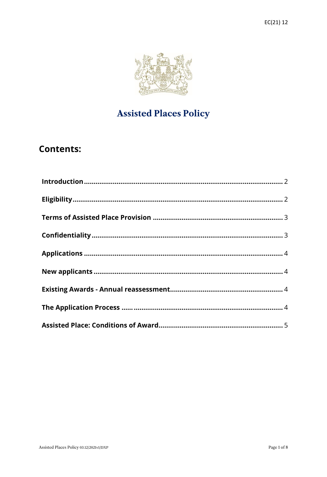

# **Assisted Places Policy**

## **Contents:**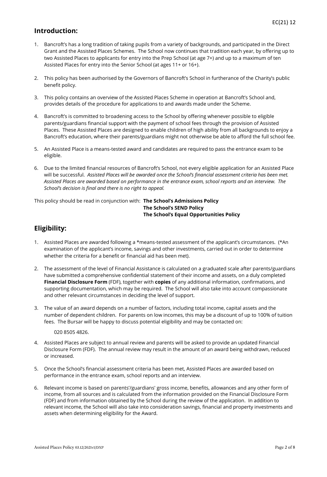#### <span id="page-1-0"></span>**Introduction:**

- 1. Bancroft's has a long tradition of taking pupils from a variety of backgrounds, and participated in the Direct Grant and the Assisted Places Schemes. The School now continues that tradition each year, by offering up to two Assisted Places to applicants for entry into the Prep School (at age 7+) and up to a maximum of ten Assisted Places for entry into the Senior School (at ages 11+ or 16+).
- 2. This policy has been authorised by the Governors of Bancroft's School in furtherance of the Charity's public benefit policy.
- 3. This policy contains an overview of the Assisted Places Scheme in operation at Bancroft's School and, provides details of the procedure for applications to and awards made under the Scheme.
- 4. Bancroft's is committed to broadening access to the School by offering whenever possible to eligible parents/guardians financial support with the payment of school fees through the provision of Assisted Places. These Assisted Places are designed to enable children of high ability from all backgrounds to enjoy a Bancroft's education, where their parents/guardians might not otherwise be able to afford the full school fee.
- 5. An Assisted Place is a means-tested award and candidates are required to pass the entrance exam to be eligible.
- 6. Due to the limited financial resources of Bancroft's School, not every eligible application for an Assisted Place will be successful. *Assisted Places will be awarded once the School's financial assessment criteria has been met. Assisted Places are awarded based on performance in the entrance exam, school reports and an interview. The School's decision is final and there is no right to appeal.*

#### This policy should be read in conjunction with: **The School's [Admissions Policy](http://webserver.forest.org.uk/Resources/Staff%20%5BF2%5D/Staff%20Handbook%20%5BFz%5D/Section%20D%20Forest%20School%20Policies%20and%20Procedures%20%5BFje2%5D/School%20Policies%20Internal%20%5BF197d%5D/15a%20Admissions%20Policy.pdf) The School's [SEND Policy](http://webserver.forest.org.uk/Resources/Staff%20%5BF2%5D/Staff%20Handbook%20%5BFz%5D/Section%20D%20Forest%20School%20Policies%20and%20Procedures%20%5BFje2%5D/School%20Policies%20Internal%20%5BF197d%5D/17a%20Equal%20Opportunities%20Policy.pdf) The School's Equal Opportunities Policy**

## <span id="page-1-1"></span>**Eligibility:**

- 1. Assisted Places are awarded following a \*means-tested assessment of the applicant's circumstances. (\*An examination of the applicant's income, savings and other investments, carried out in order to determine whether the criteria for a benefit or financial aid has been met).
- 2. The assessment of the level of Financial Assistance is calculated on a graduated scale after parents/guardians have submitted a comprehensive confidential statement of their income and assets, on a duly completed **Financial Disclosure Form** (FDF), together with **copies** of any additional information, confirmations, and supporting documentation, which may be required. The School will also take into account compassionate and other relevant circumstances in deciding the level of support.
- 3. The value of an award depends on a number of factors, including total income, capital assets and the number of dependent children. For parents on low incomes, this may be a discount of up to 100% of tuition fees. The Bursar will be happy to discuss potential eligibility and may be contacted on:

020 8505 4826.

- 4. Assisted Places are subject to annual review and parents will be asked to provide an updated Financial Disclosure Form (FDF). The annual review may result in the amount of an award being withdrawn, reduced or increased.
- 5. Once the School's financial assessment criteria has been met, Assisted Places are awarded based on performance in the entrance exam, school reports and an interview.
- 6. Relevant income is based on parents'/guardians' gross income, benefits, allowances and any other form of income, from all sources and is calculated from the information provided on the Financial Disclosure Form (FDF) and from information obtained by the School during the review of the application. In addition to relevant income, the School will also take into consideration savings, financial and property investments and assets when determining eligibility for the Award.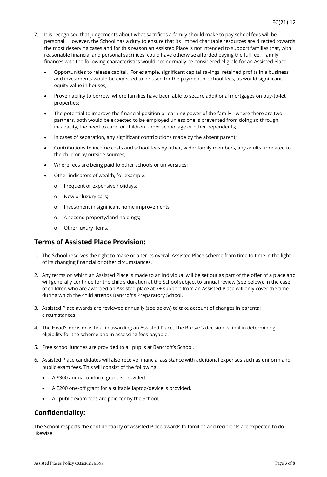- 7. It is recognised that judgements about what sacrifices a family should make to pay school fees will be personal. However, the School has a duty to ensure that its limited charitable resources are directed towards the most deserving cases and for this reason an Assisted Place is not intended to support families that, with reasonable financial and personal sacrifices, could have otherwise afforded paying the full fee. Family finances with the following characteristics would not normally be considered eligible for an Assisted Place:
	- Opportunities to release capital. For example, significant capital savings, retained profits in a business and investments would be expected to be used for the payment of school fees, as would significant equity value in houses;
	- Proven ability to borrow, where families have been able to secure additional mortgages on buy-to-let properties;
	- The potential to improve the financial position or earning power of the family where there are two partners, both would be expected to be employed unless one is prevented from doing so through incapacity, the need to care for children under school age or other dependents;
	- In cases of separation, any significant contributions made by the absent parent;
	- Contributions to income costs and school fees by other, wider family members, any adults unrelated to the child or by outside sources;
	- Where fees are being paid to other schools or universities;
	- Other indicators of wealth, for example:
		- o Frequent or expensive holidays;
		- o New or luxury cars;
		- o Investment in significant home improvements;
		- o A second property/land holdings;
		- o Other luxury items.

## <span id="page-2-0"></span>**Terms of Assisted Place Provision:**

- 1. The School reserves the right to make or alter its overall Assisted Place scheme from time to time in the light of its changing financial or other circumstances.
- 2. Any terms on which an Assisted Place is made to an individual will be set out as part of the offer of a place and will generally continue for the child's duration at the School subject to annual review (see below). In the case of children who are awarded an Assisted place at 7+ support from an Assisted Place will only cover the time during which the child attends Bancroft's Preparatory School.
- 3. Assisted Place awards are reviewed annually (see below) to take account of changes in parental circumstances.
- 4. The Head's decision is final in awarding an Assisted Place. The Bursar's decision is final in determining eligibility for the scheme and in assessing fees payable.
- 5. Free school lunches are provided to all pupils at Bancroft's School.
- 6. Assisted Place candidates will also receive financial assistance with additional expenses such as uniform and public exam fees. This will consist of the following:
	- A £300 annual uniform grant is provided.
	- A £200 one-off grant for a suitable laptop/device is provided.
	- All public exam fees are paid for by the School.

## **Confidentiality:**

The School respects the confidentiality of Assisted Place awards to families and recipients are expected to do likewise.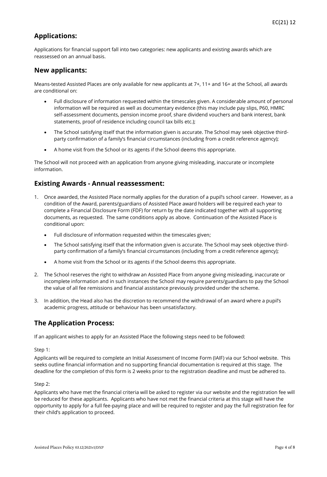## <span id="page-3-0"></span>**Applications:**

Applications for financial support fall into two categories: new applicants and existing awards which are reassessed on an annual basis.

#### **New applicants:**

Means-tested Assisted Places are only available for new applicants at 7+, 11+ and 16+ at the School, all awards are conditional on:

- Full disclosure of information requested within the timescales given. A considerable amount of personal information will be required as well as documentary evidence (this may include pay slips, P60, HMRC self-assessment documents, pension income proof, share dividend vouchers and bank interest, bank statements, proof of residence including council tax bills etc.);
- The School satisfying itself that the information given is accurate. The School may seek objective thirdparty confirmation of a family's financial circumstances (including from a credit reference agency);
- A home visit from the School or its agents if the School deems this appropriate.

The School will not proceed with an application from anyone giving misleading, inaccurate or incomplete information.

### <span id="page-3-1"></span>**Existing Awards - Annual reassessment:**

- 1. Once awarded, the Assisted Place normally applies for the duration of a pupil's school career. However, as a condition of the Award, parents/guardians of Assisted Place award holders will be required each year to complete a Financial Disclosure Form (FDF) for return by the date indicated together with all supporting documents, as requested. The same conditions apply as above. Continuation of the Assisted Place is conditional upon:
	- Full disclosure of information requested within the timescales given;
	- The School satisfying itself that the information given is accurate. The School may seek objective thirdparty confirmation of a family's financial circumstances (including from a credit reference agency);
	- A home visit from the School or its agents if the School deems this appropriate.
- 2. The School reserves the right to withdraw an Assisted Place from anyone giving misleading, inaccurate or incomplete information and in such instances the School may require parents/guardians to pay the School the value of all fee remissions and financial assistance previously provided under the scheme.
- 3. In addition, the Head also has the discretion to recommend the withdrawal of an award where a pupil's academic progress, attitude or behaviour has been unsatisfactory.

#### **The Application Process:**

If an applicant wishes to apply for an Assisted Place the following steps need to be followed:

#### Step 1:

Applicants will be required to complete an Initial Assessment of Income Form (IAIF) via our School website. This seeks outline financial information and no supporting financial documentation is required at this stage. The deadline for the completion of this form is 2 weeks prior to the registration deadline and must be adhered to.

#### Step 2:

Applicants who have met the financial criteria will be asked to register via our website and the registration fee will be reduced for these applicants. Applicants who have not met the financial criteria at this stage will have the opportunity to apply for a full fee-paying place and will be required to register and pay the full registration fee for their child's application to proceed.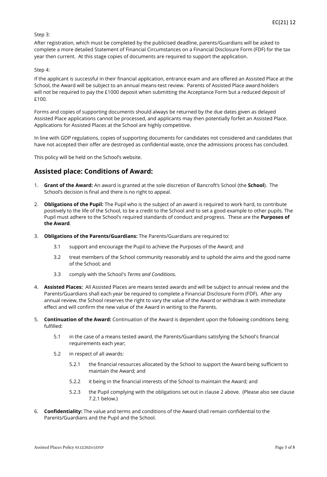#### Step 3:

After registration, which must be completed by the publicised deadline, parents/Guardians will be asked to complete a more detailed Statement of Financial Circumstances on a Financial Disclosure Form (FDF) for the tax year then current. At this stage copies of documents are required to support the application.

#### Step 4:

If the applicant is successful in their financial application, entrance exam and are offered an Assisted Place at the School, the Award will be subject to an annual means-test review. Parents of Assisted Place award holders will not be required to pay the £1000 deposit when submitting the Acceptance Form but a reduced deposit of £100.

Forms and copies of supporting documents should always be returned by the due dates given as delayed Assisted Place applications cannot be processed, and applicants may then potentially forfeit an Assisted Place. Applications for Assisted Places at the School are highly competitive.

In line with GDP regulations, copies of supporting documents for candidates not considered and candidates that have not accepted their offer are destroyed as confidential waste, once the admissions process has concluded.

This policy will be held on the School's website.

### **Assisted place: Conditions of Award:**

- 1. **Grant of the Award:** An award is granted at the sole discretion of Bancroft's School (the **School**). The School's decision is final and there is no right to appeal.
- 2. **Obligations of the Pupil:** The Pupil who is the subject of an award is required to work hard, to contribute positively to the life of the School, to be a credit to the School and to set a good example to other pupils. The Pupil must adhere to the School's required standards of conduct and progress. These are the **Purposes of the Award**.
- 3. **Obligations of the Parents/Guardians:** The Parents/Guardians are required to:
	- 3.1 support and encourage the Pupil to achieve the Purposes of the Award; and
	- 3.2 treat members of the School community reasonably and to uphold the aims and the good name of the School; and
	- 3.3 comply with the School's *Terms and Conditions*.
- 4. **Assisted Places:** All Assisted Places are means tested awards and will be subject to annual review and the Parents/Guardians shall each year be required to complete a Financial Disclosure Form (FDF). After any annual review, the School reserves the right to vary the value of the Award or withdraw it with immediate effect and will confirm the new value of the Award in writing to the Parents.
- <span id="page-4-0"></span>5. **Continuation of the Award:** Continuation of the Award is dependent upon the following conditions being fulfilled:
	- 5.1 in the case of a means tested award, the Parents/Guardians satisfying the School's financial requirements each year;
	- 5.2 in respect of all awards:
		- 5.2.1 the financial resources allocated by the School to support the Award being sufficient to maintain the Award; and
		- 5.2.2 it being in the financial interests of the School to maintain the Award; and
		- 5.2.3 the Pupil complying with the obligations set out in clause 2 above. (Please also see clause 7.2.1 below.)
- 6. **Confidentiality:** The value and terms and conditions of the Award shall remain confidential to the Parents/Guardians and the Pupil and the School.